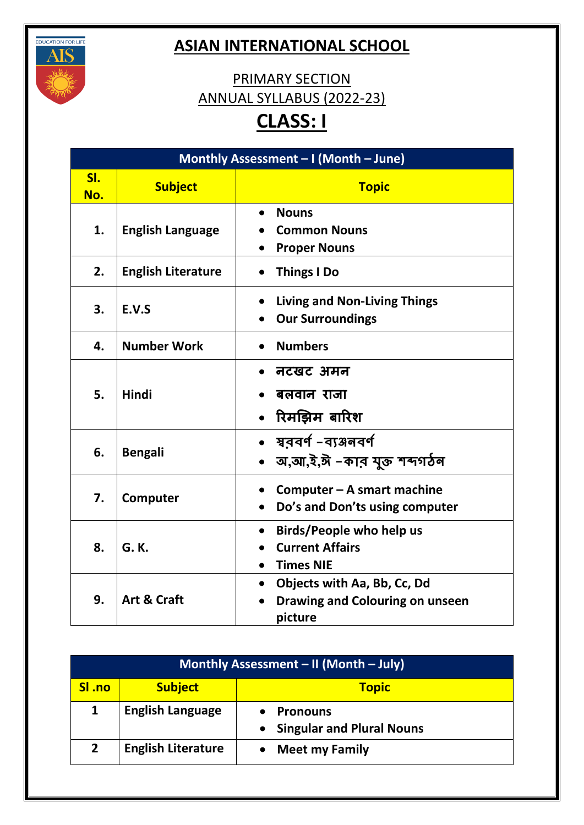

## **ASIAN INTERNATIONAL SCHOOL**

## PRIMARY SECTION ANNUAL SYLLABUS (2022-23) **CLASS: I**

| Monthly Assessment - I (Month - June) |                           |                                                                                                  |
|---------------------------------------|---------------------------|--------------------------------------------------------------------------------------------------|
| SI.<br>No.                            | <b>Subject</b>            | <b>Topic</b>                                                                                     |
| 1.                                    | <b>English Language</b>   | <b>Nouns</b><br><b>Common Nouns</b><br><b>Proper Nouns</b>                                       |
| 2.                                    | <b>English Literature</b> | <b>Things I Do</b>                                                                               |
| 3.                                    | E.V.S                     | <b>Living and Non-Living Things</b><br><b>Our Surroundings</b>                                   |
| 4.                                    | <b>Number Work</b>        | <b>Numbers</b>                                                                                   |
| 5.                                    | <b>Hindi</b>              | नटखट अमन<br>बलवान राजा<br>रिमझिम बारिश                                                           |
| 6.                                    | <b>Bengali</b>            | ষুরবর্ণ -ব্যঞ্জনবর্ণ<br>অ,আ,ই,ঈ -কাব যুক্ত শব্দগঠন                                               |
| 7.                                    | Computer                  | Computer – A smart machine<br>Do's and Don'ts using computer                                     |
| 8.                                    | G. K.                     | Birds/People who help us<br>$\bullet$<br><b>Current Affairs</b><br><b>Times NIE</b><br>$\bullet$ |
| 9.                                    | <b>Art &amp; Craft</b>    | Objects with Aa, Bb, Cc, Dd<br>$\bullet$<br>Drawing and Colouring on unseen<br>picture           |

| Monthly Assessment - II (Month - July) |                           |                                                                  |
|----------------------------------------|---------------------------|------------------------------------------------------------------|
| SI .no                                 | <b>Subject</b>            | <b>Topic</b>                                                     |
|                                        | <b>English Language</b>   | <b>Pronouns</b><br><b>Singular and Plural Nouns</b><br>$\bullet$ |
| 2 <sup>1</sup>                         | <b>English Literature</b> | <b>Meet my Family</b>                                            |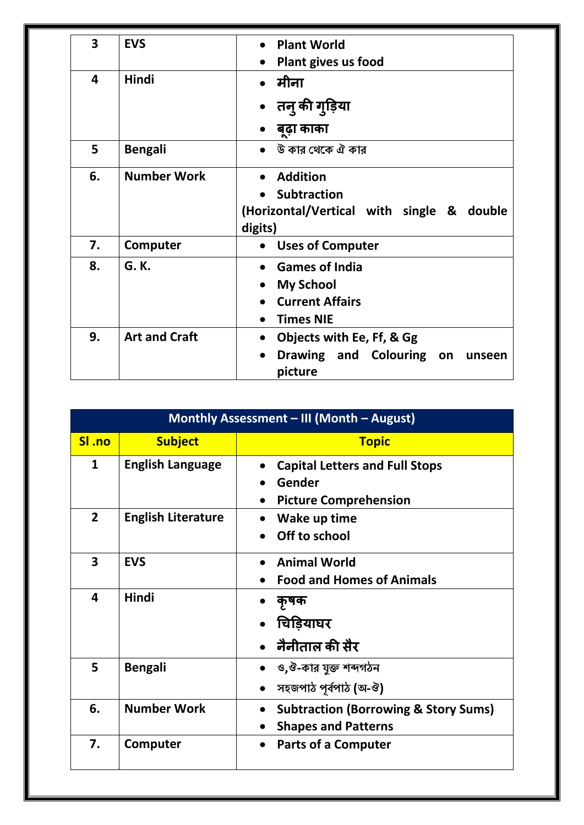| 3  | <b>EVS</b>           | <b>Plant World</b>                                         |
|----|----------------------|------------------------------------------------------------|
|    |                      | Plant gives us food<br>$\bullet$                           |
| 4  | Hindi                | मीना                                                       |
|    |                      | तन् की गुड़िया                                             |
|    |                      | बूढ़ा काका                                                 |
| 5  | <b>Bengali</b>       | উ কার থেকে ঐ কার                                           |
| 6. | <b>Number Work</b>   | <b>Addition</b><br><b>Subtraction</b>                      |
|    |                      | (Horizontal/Vertical with single & double<br>digits)       |
| 7. | Computer             | <b>Uses of Computer</b><br>$\bullet$                       |
| 8. | G. K.                | <b>Games of India</b><br>$\bullet$                         |
|    |                      | <b>My School</b><br>$\bullet$                              |
|    |                      | <b>Current Affairs</b>                                     |
|    |                      | <b>Times NIE</b>                                           |
| 9. | <b>Art and Craft</b> | Objects with Ee, Ff, & Gg<br>$\bullet$                     |
|    |                      | Drawing and Colouring on<br>$\bullet$<br>unseen<br>picture |

|                | Monthly Assessment - III (Month - August) |                                                                                            |  |
|----------------|-------------------------------------------|--------------------------------------------------------------------------------------------|--|
| SI .no         | <b>Subject</b>                            | <b>Topic</b>                                                                               |  |
| 1              | <b>English Language</b>                   | <b>Capital Letters and Full Stops</b><br>Gender<br><b>Picture Comprehension</b>            |  |
| $\overline{2}$ | <b>English Literature</b>                 | Wake up time<br>Off to school                                                              |  |
| 3              | <b>EVS</b>                                | <b>Animal World</b><br><b>Food and Homes of Animals</b>                                    |  |
| 4              | Hindi                                     | कृषक<br>चिड़ियाघर<br>नैनीताल की सैर                                                        |  |
| 5              | <b>Bengali</b>                            | ও,ঔ-কার যুক্ত শব্দগঠন<br>সহজপাঠ পূৰ্বপাঠ (অ-ঔ)                                             |  |
| 6.             | <b>Number Work</b>                        | <b>Subtraction (Borrowing &amp; Story Sums)</b><br>$\bullet$<br><b>Shapes and Patterns</b> |  |
| 7.             | Computer                                  | <b>Parts of a Computer</b>                                                                 |  |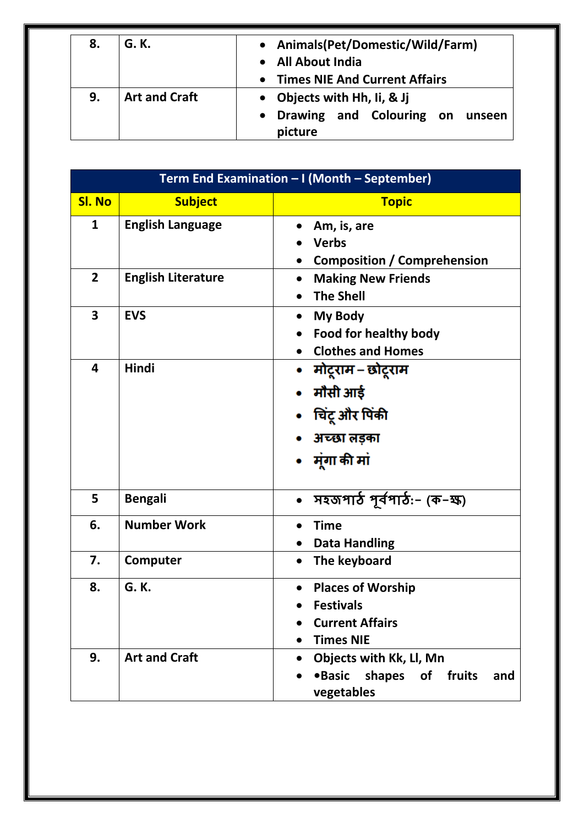| 8. | G. K.                | • Animals(Pet/Domestic/Wild/Farm)    |
|----|----------------------|--------------------------------------|
|    |                      | <b>All About India</b>               |
|    |                      | <b>Times NIE And Current Affairs</b> |
| 9. | <b>Art and Craft</b> | • Objects with Hh, Ii, & Jj          |
|    |                      | Drawing and Colouring on unseen      |
|    |                      | picture                              |

|                         | Term End Examination - I (Month - September) |                                                                                                         |  |
|-------------------------|----------------------------------------------|---------------------------------------------------------------------------------------------------------|--|
| <b>Sl. No</b>           | <b>Subject</b>                               | <b>Topic</b>                                                                                            |  |
| 1                       | <b>English Language</b>                      | Am, is, are<br>$\bullet$<br><b>Verbs</b><br><b>Composition / Comprehension</b>                          |  |
| $\overline{2}$          | <b>English Literature</b>                    | <b>Making New Friends</b><br>$\bullet$<br><b>The Shell</b><br>$\bullet$                                 |  |
| 3                       | <b>EVS</b>                                   | My Body<br>Food for healthy body<br><b>Clothes and Homes</b>                                            |  |
| $\overline{\mathbf{4}}$ | Hindi                                        | • मोटूराम – छोटूराम<br>मौसी आई<br>चिंटू और पिंकी<br>अच्छा लड़का<br>• मूंगा की मां                       |  |
| 5                       | <b>Bengali</b>                               | সহজপাঠ পূৰ্বপাঠ:- (ক-ষ্ষ)<br>$\bullet$                                                                  |  |
| 6.                      | <b>Number Work</b>                           | <b>Time</b><br>$\bullet$<br><b>Data Handling</b>                                                        |  |
| 7.                      | Computer                                     | The keyboard<br>$\bullet$                                                                               |  |
| 8.                      | G. K.                                        | <b>Places of Worship</b><br><b>Festivals</b><br><b>Current Affairs</b><br><b>Times NIE</b><br>$\bullet$ |  |
| 9.                      | <b>Art and Craft</b>                         | Objects with Kk, Ll, Mn<br>$\bullet$<br><b>•Basic</b><br>shapes<br>of<br>fruits<br>and<br>vegetables    |  |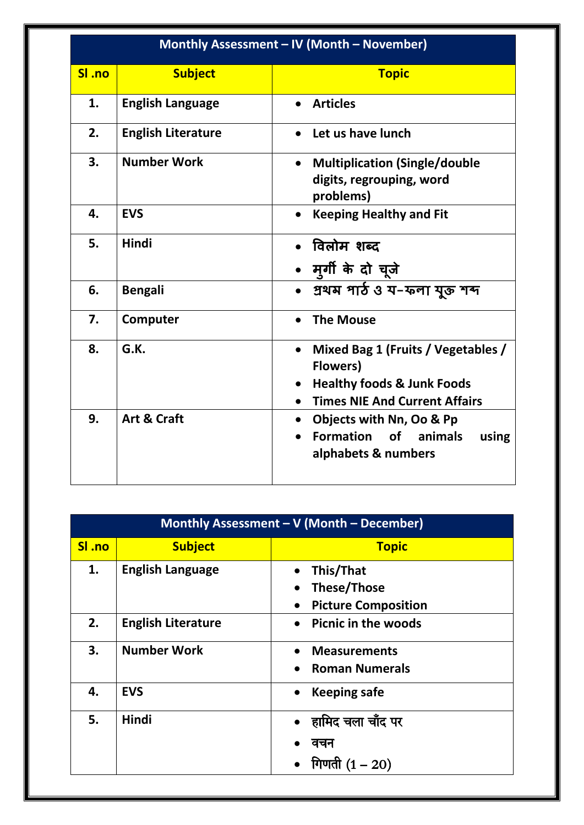| Monthly Assessment - IV (Month - November) |                           |                                                                                                                                                                   |
|--------------------------------------------|---------------------------|-------------------------------------------------------------------------------------------------------------------------------------------------------------------|
| SI .no                                     | <b>Subject</b>            | <b>Topic</b>                                                                                                                                                      |
| 1.                                         | <b>English Language</b>   | <b>Articles</b><br>$\bullet$                                                                                                                                      |
| 2.                                         | <b>English Literature</b> | Let us have lunch                                                                                                                                                 |
| 3.                                         | <b>Number Work</b>        | <b>Multiplication (Single/double</b><br>$\bullet$<br>digits, regrouping, word<br>problems)                                                                        |
| 4.                                         | <b>EVS</b>                | <b>Keeping Healthy and Fit</b><br>$\bullet$                                                                                                                       |
| 5.                                         | <b>Hindi</b>              | • विलोम शब्द<br>• मुर्गी के दो चूजे                                                                                                                               |
| 6.                                         | <b>Bengali</b>            | • प्रथम भार्ठ ও य-फना यूऊ गम                                                                                                                                      |
| 7.                                         | Computer                  | <b>The Mouse</b>                                                                                                                                                  |
| 8.                                         | G.K.                      | Mixed Bag 1 (Fruits / Vegetables /<br>$\bullet$<br><b>Flowers</b> )<br><b>Healthy foods &amp; Junk Foods</b><br>$\bullet$<br><b>Times NIE And Current Affairs</b> |
| 9.                                         | <b>Art &amp; Craft</b>    | Objects with Nn, Oo & Pp<br>$\bullet$<br><b>Formation</b> of<br>animals<br>using<br>alphabets & numbers                                                           |

| <b>Monthly Assessment - <math>\overline{V}</math> (Month - December)</b> |                           |                                                                            |
|--------------------------------------------------------------------------|---------------------------|----------------------------------------------------------------------------|
| SI .no                                                                   | <b>Subject</b>            | <b>Topic</b>                                                               |
| 1.                                                                       | <b>English Language</b>   | This/That<br><b>These/Those</b><br><b>Picture Composition</b><br>$\bullet$ |
| 2.                                                                       | <b>English Literature</b> | <b>Picnic in the woods</b><br>$\bullet$                                    |
| 3.                                                                       | <b>Number Work</b>        | <b>Measurements</b><br><b>Roman Numerals</b>                               |
| 4.                                                                       | <b>EVS</b>                | <b>Keeping safe</b><br>$\bullet$                                           |
| 5.                                                                       | <b>Hindi</b>              | हामिद चला चाँद पर<br>वचन<br>गिणती $(1 - 20)$                               |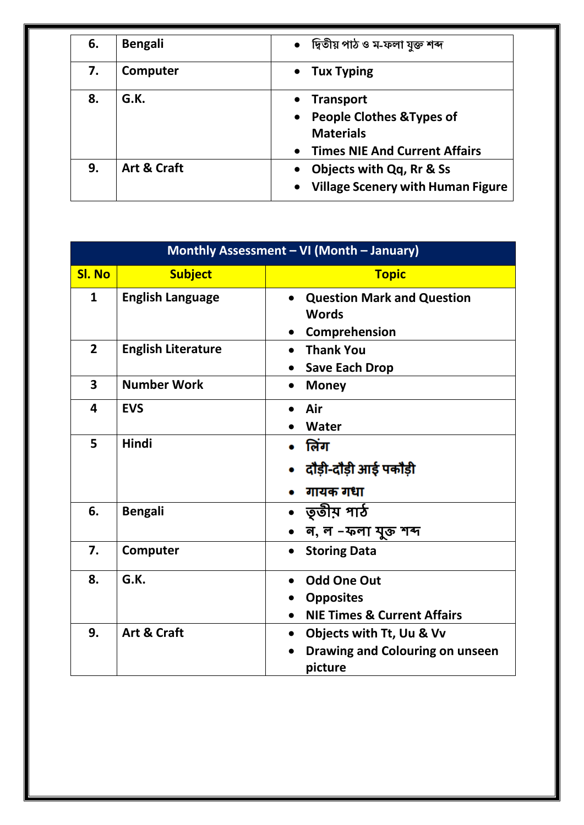| 6. | <b>Bengali</b> | • দ্বিতীয় পাঠ ও ম-ফলা যুক্ত শব্দ                                                                                                                           |
|----|----------------|-------------------------------------------------------------------------------------------------------------------------------------------------------------|
| 7. | Computer       | <b>Tux Typing</b><br>$\bullet$                                                                                                                              |
| 8. | G.K.           | <b>Transport</b><br>$\bullet$<br><b>People Clothes &amp; Types of</b><br>$\bullet$<br><b>Materials</b><br><b>Times NIE And Current Affairs</b><br>$\bullet$ |
| 9. | Art & Craft    | <b>Objects with Qq, Rr &amp; Ss</b><br><b>Village Scenery with Human Figure</b><br>$\bullet$                                                                |

| Monthly Assessment - VI (Month - January) |                           |                                                                                                  |
|-------------------------------------------|---------------------------|--------------------------------------------------------------------------------------------------|
| <b>Sl. No</b>                             | <b>Subject</b>            | <b>Topic</b>                                                                                     |
| $\mathbf{1}$                              | <b>English Language</b>   | <b>Question Mark and Question</b><br><b>Words</b><br>Comprehension                               |
| $\overline{2}$                            | <b>English Literature</b> | <b>Thank You</b><br>$\bullet$<br><b>Save Each Drop</b>                                           |
| 3                                         | <b>Number Work</b>        | <b>Money</b><br>$\bullet$                                                                        |
| 4                                         | <b>EVS</b>                | Air<br>Water                                                                                     |
| 5                                         | Hindi                     | लिंग<br>दौड़ी-दौड़ी आई पकौड़ी<br>गायक गधा                                                        |
| 6.                                        | <b>Bengali</b>            | •   তৃতীয় পাঠ<br>ন, ল –ফলা যুক্ত শব্দ                                                           |
| 7.                                        | Computer                  | <b>Storing Data</b>                                                                              |
| 8.                                        | G.K.                      | <b>Odd One Out</b><br><b>Opposites</b><br><b>NIE Times &amp; Current Affairs</b><br>$\bullet$    |
| 9.                                        | Art & Craft               | Objects with Tt, Uu & Vv<br>$\bullet$<br>Drawing and Colouring on unseen<br>$\bullet$<br>picture |